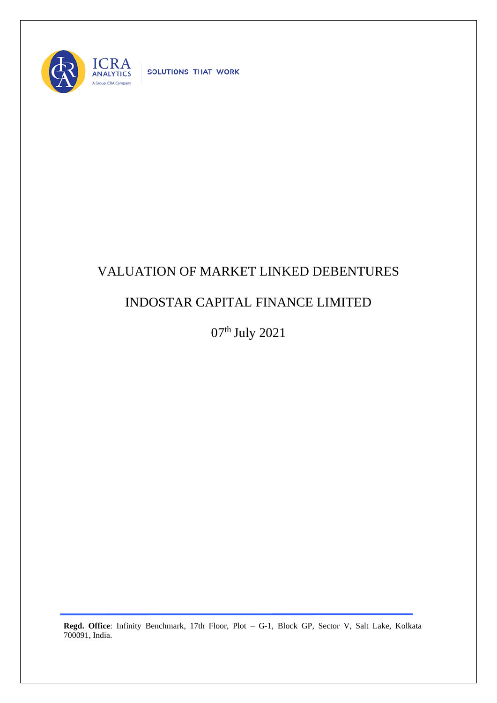

SOLUTIONS THAT WORK

## VALUATION OF MARKET LINKED DEBENTURES

## INDOSTAR CAPITAL FINANCE LIMITED

07th July 2021

**Regd. Office**: Infinity Benchmark, 17th Floor, Plot – G-1, Block GP, Sector V, Salt Lake, Kolkata 700091, India.